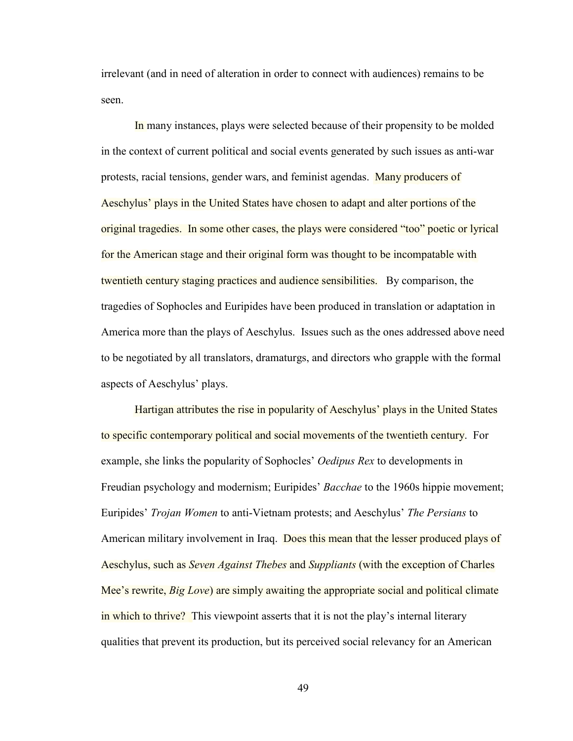irrelevant (and in need of alteration in order to connect with audiences) remains to be seen.

 In many instances, plays were selected because of their propensity to be molded in the context of current political and social events generated by such issues as anti-war protests, racial tensions, gender wars, and feminist agendas. Many producers of Aeschylus' plays in the United States have chosen to adapt and alter portions of the original tragedies. In some other cases, the plays were considered "too" poetic or lyrical for the American stage and their original form was thought to be incompatable with twentieth century staging practices and audience sensibilities. By comparison, the tragedies of Sophocles and Euripides have been produced in translation or adaptation in America more than the plays of Aeschylus. Issues such as the ones addressed above need to be negotiated by all translators, dramaturgs, and directors who grapple with the formal aspects of Aeschylus' plays.

 Hartigan attributes the rise in popularity of Aeschylus' plays in the United States to specific contemporary political and social movements of the twentieth century. For example, she links the popularity of Sophocles' *Oedipus Rex* to developments in Freudian psychology and modernism; Euripides' *Bacchae* to the 1960s hippie movement; Euripides' *Trojan Women* to anti-Vietnam protests; and Aeschylus' *The Persians* to American military involvement in Iraq. Does this mean that the lesser produced plays of Aeschylus, such as *Seven Against Thebes* and *Suppliants* (with the exception of Charles Mee's rewrite, *Big Love*) are simply awaiting the appropriate social and political climate in which to thrive? This viewpoint asserts that it is not the play's internal literary qualities that prevent its production, but its perceived social relevancy for an American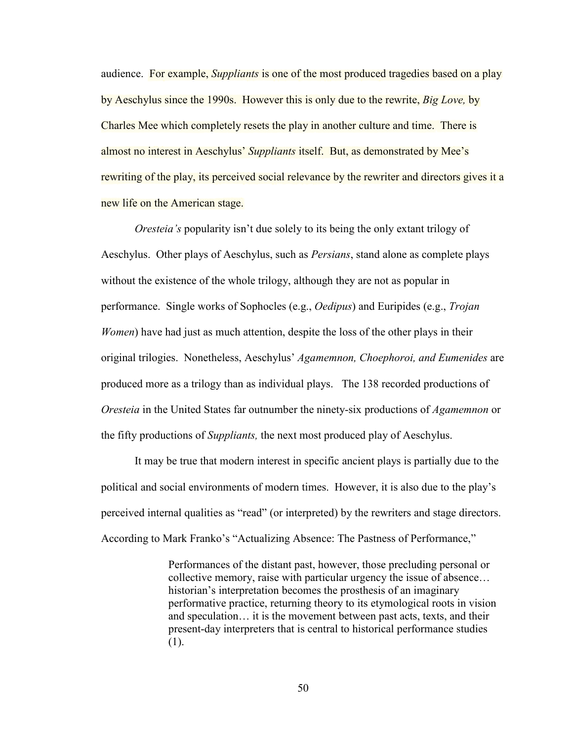audience. For example, *Suppliants* is one of the most produced tragedies based on a play by Aeschylus since the 1990s. However this is only due to the rewrite, *Big Love,* by Charles Mee which completely resets the play in another culture and time. There is almost no interest in Aeschylus' *Suppliants* itself. But, as demonstrated by Mee's rewriting of the play, its perceived social relevance by the rewriter and directors gives it a new life on the American stage.

*Oresteia's* popularity isn't due solely to its being the only extant trilogy of Aeschylus. Other plays of Aeschylus, such as *Persians*, stand alone as complete plays without the existence of the whole trilogy, although they are not as popular in performance. Single works of Sophocles (e.g., *Oedipus*) and Euripides (e.g., *Trojan Women*) have had just as much attention, despite the loss of the other plays in their original trilogies. Nonetheless, Aeschylus' *Agamemnon, Choephoroi, and Eumenides* are produced more as a trilogy than as individual plays. The 138 recorded productions of *Oresteia* in the United States far outnumber the ninety-six productions of *Agamemnon* or the fifty productions of *Suppliants,* the next most produced play of Aeschylus.

 It may be true that modern interest in specific ancient plays is partially due to the political and social environments of modern times. However, it is also due to the play's perceived internal qualities as "read" (or interpreted) by the rewriters and stage directors. According to Mark Franko's "Actualizing Absence: The Pastness of Performance,"

> Performances of the distant past, however, those precluding personal or collective memory, raise with particular urgency the issue of absence… historian's interpretation becomes the prosthesis of an imaginary performative practice, returning theory to its etymological roots in vision and speculation… it is the movement between past acts, texts, and their present-day interpreters that is central to historical performance studies (1).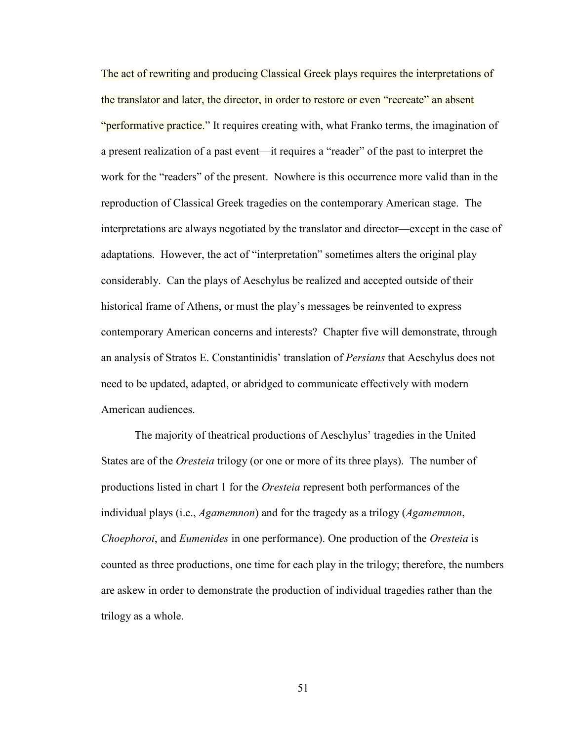The act of rewriting and producing Classical Greek plays requires the interpretations of the translator and later, the director, in order to restore or even "recreate" an absent "performative practice." It requires creating with, what Franko terms, the imagination of a present realization of a past event—it requires a "reader" of the past to interpret the work for the "readers" of the present. Nowhere is this occurrence more valid than in the reproduction of Classical Greek tragedies on the contemporary American stage. The interpretations are always negotiated by the translator and director—except in the case of adaptations. However, the act of "interpretation" sometimes alters the original play considerably. Can the plays of Aeschylus be realized and accepted outside of their historical frame of Athens, or must the play's messages be reinvented to express contemporary American concerns and interests? Chapter five will demonstrate, through an analysis of Stratos E. Constantinidis' translation of *Persians* that Aeschylus does not need to be updated, adapted, or abridged to communicate effectively with modern American audiences.

 The majority of theatrical productions of Aeschylus' tragedies in the United States are of the *Oresteia* trilogy (or one or more of its three plays). The number of productions listed in chart 1 for the *Oresteia* represent both performances of the individual plays (i.e., *Agamemnon*) and for the tragedy as a trilogy (*Agamemnon*, *Choephoroi*, and *Eumenides* in one performance). One production of the *Oresteia* is counted as three productions, one time for each play in the trilogy; therefore, the numbers are askew in order to demonstrate the production of individual tragedies rather than the trilogy as a whole.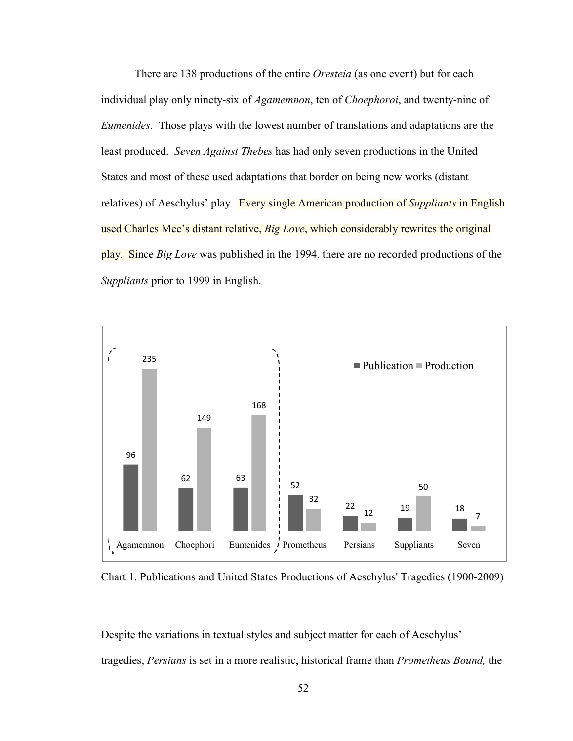There are 138 productions of the entire *Oresteia* (as one event) but for each individual play only ninety-six of *Agamemnon*, ten of *Choephoroi*, and twenty-nine of *Eumenides*. Those plays with the lowest number of translations and adaptations are the least produced. *Seven Against Thebes* has had only seven productions in the United States and most of these used adaptations that border on being new works (distant relatives) of Aeschylus' play. Every single American production of *Suppliants* in English used Charles Mee's distant relative, *Big Love*, which considerably rewrites the original play. Since *Big Love* was published in the 1994, there are no recorded productions of the *Suppliants* prior to 1999 in English.



Chart 1. Publications and United States Productions of Aeschylus' Tragedies (1900-2009)

Despite the variations in textual styles and subject matter for each of Aeschylus' tragedies, *Persians* is set in a a more realistic, historical frame than *Prometheus Bound Bound,* the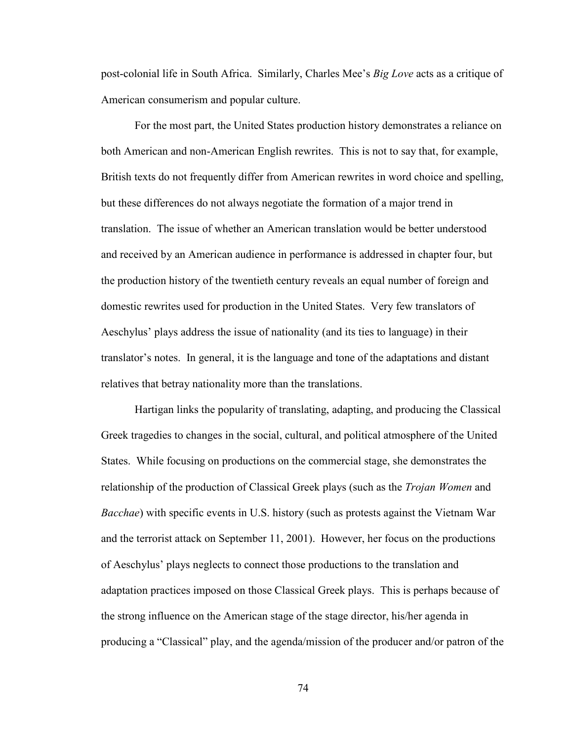post-colonial life in South Africa. Similarly, Charles Mee's *Big Love* acts as a critique of American consumerism and popular culture.

For the most part, the United States production history demonstrates a reliance on both American and non-American English rewrites. This is not to say that, for example, British texts do not frequently differ from American rewrites in word choice and spelling, but these differences do not always negotiate the formation of a major trend in translation. The issue of whether an American translation would be better understood and received by an American audience in performance is addressed in chapter four, but the production history of the twentieth century reveals an equal number of foreign and domestic rewrites used for production in the United States. Very few translators of Aeschylus' plays address the issue of nationality (and its ties to language) in their translator's notes. In general, it is the language and tone of the adaptations and distant relatives that betray nationality more than the translations.

Hartigan links the popularity of translating, adapting, and producing the Classical Greek tragedies to changes in the social, cultural, and political atmosphere of the United States. While focusing on productions on the commercial stage, she demonstrates the relationship of the production of Classical Greek plays (such as the *Trojan Women* and *Bacchae*) with specific events in U.S. history (such as protests against the Vietnam War and the terrorist attack on September 11, 2001). However, her focus on the productions of Aeschylus' plays neglects to connect those productions to the translation and adaptation practices imposed on those Classical Greek plays. This is perhaps because of the strong influence on the American stage of the stage director, his/her agenda in producing a "Classical" play, and the agenda/mission of the producer and/or patron of the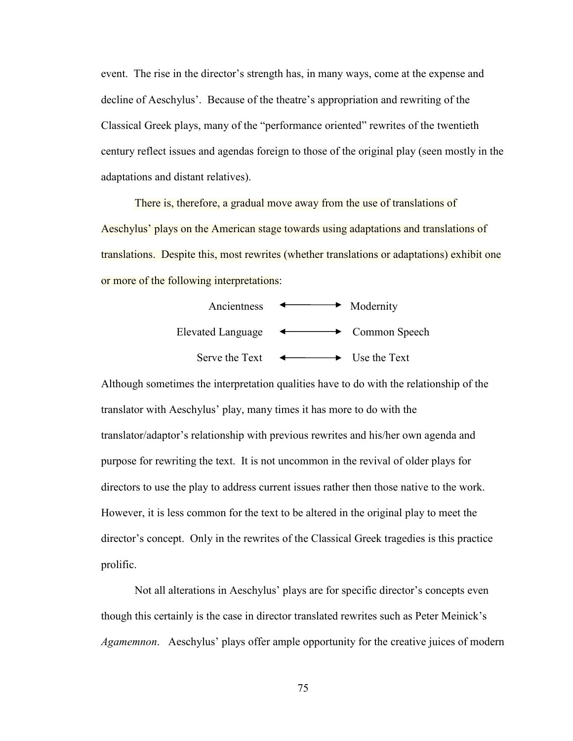event. The rise in the director's strength has, in many ways, come at the expense and decline of Aeschylus'. Because of the theatre's appropriation and rewriting of the Classical Greek plays, many of the "performance oriented" rewrites of the twentieth century reflect issues and agendas foreign to those of the original play (seen mostly in the adaptations and distant relatives).

There is, therefore, a gradual move away from the use of translations of Aeschylus' plays on the American stage towards using adaptations and translations of translations. Despite this, most rewrites (whether translations or adaptations) exhibit one or more of the following interpretations:



Although sometimes the interpretation qualities have to do with the relationship of the translator with Aeschylus' play, many times it has more to do with the translator/adaptor's relationship with previous rewrites and his/her own agenda and purpose for rewriting the text. It is not uncommon in the revival of older plays for directors to use the play to address current issues rather then those native to the work. However, it is less common for the text to be altered in the original play to meet the director's concept. Only in the rewrites of the Classical Greek tragedies is this practice prolific.

 Not all alterations in Aeschylus' plays are for specific director's concepts even though this certainly is the case in director translated rewrites such as Peter Meinick's *Agamemnon*. Aeschylus' plays offer ample opportunity for the creative juices of modern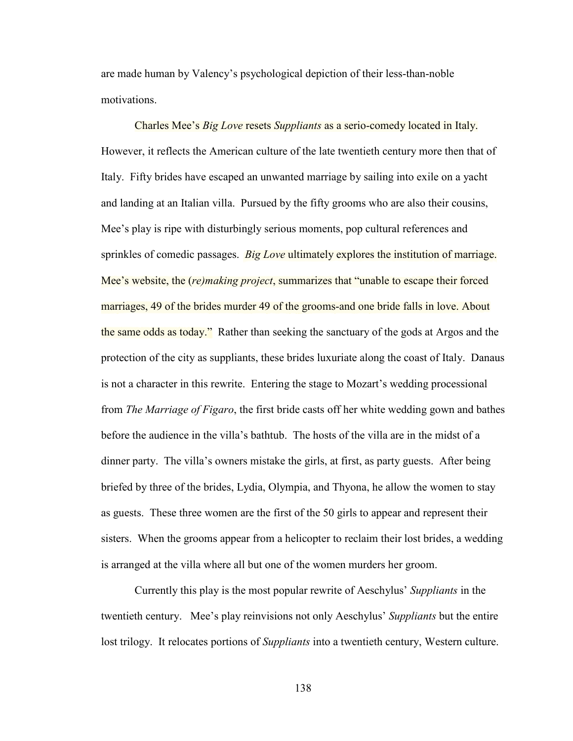are made human by Valency's psychological depiction of their less-than-noble motivations.

 Charles Mee's *Big Love* resets *Suppliants* as a serio-comedy located in Italy. However, it reflects the American culture of the late twentieth century more then that of Italy. Fifty brides have escaped an unwanted marriage by sailing into exile on a yacht and landing at an Italian villa. Pursued by the fifty grooms who are also their cousins, Mee's play is ripe with disturbingly serious moments, pop cultural references and sprinkles of comedic passages. *Big Love* ultimately explores the institution of marriage. Mee's website, the (*re)making project*, summarizes that "unable to escape their forced marriages, 49 of the brides murder 49 of the grooms-and one bride falls in love. About the same odds as today." Rather than seeking the sanctuary of the gods at Argos and the protection of the city as suppliants, these brides luxuriate along the coast of Italy. Danaus is not a character in this rewrite. Entering the stage to Mozart's wedding processional from *The Marriage of Figaro*, the first bride casts off her white wedding gown and bathes before the audience in the villa's bathtub. The hosts of the villa are in the midst of a dinner party. The villa's owners mistake the girls, at first, as party guests. After being briefed by three of the brides, Lydia, Olympia, and Thyona, he allow the women to stay as guests. These three women are the first of the 50 girls to appear and represent their sisters. When the grooms appear from a helicopter to reclaim their lost brides, a wedding is arranged at the villa where all but one of the women murders her groom.

 Currently this play is the most popular rewrite of Aeschylus' *Suppliants* in the twentieth century. Mee's play reinvisions not only Aeschylus' *Suppliants* but the entire lost trilogy. It relocates portions of *Suppliants* into a twentieth century, Western culture.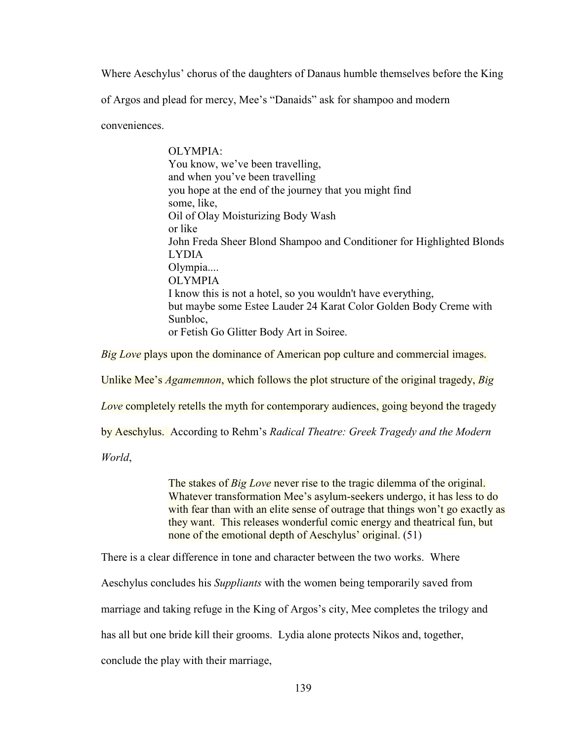Where Aeschylus' chorus of the daughters of Danaus humble themselves before the King

of Argos and plead for mercy, Mee's "Danaids" ask for shampoo and modern

conveniences.

OLYMPIA: You know, we've been travelling, and when you've been travelling you hope at the end of the journey that you might find some, like, Oil of Olay Moisturizing Body Wash or like John Freda Sheer Blond Shampoo and Conditioner for Highlighted Blonds LYDIA Olympia.... OLYMPIA I know this is not a hotel, so you wouldn't have everything, but maybe some Estee Lauder 24 Karat Color Golden Body Creme with Sunbloc, or Fetish Go Glitter Body Art in Soiree.

*Big Love* plays upon the dominance of American pop culture and commercial images.

Unlike Mee's *Agamemnon*, which follows the plot structure of the original tragedy, *Big* 

*Love* completely retells the myth for contemporary audiences, going beyond the tragedy

by Aeschylus. According to Rehm's *Radical Theatre: Greek Tragedy and the Modern* 

*World*,

The stakes of *Big Love* never rise to the tragic dilemma of the original. Whatever transformation Mee's asylum-seekers undergo, it has less to do with fear than with an elite sense of outrage that things won't go exactly as they want. This releases wonderful comic energy and theatrical fun, but none of the emotional depth of Aeschylus' original. (51)

There is a clear difference in tone and character between the two works. Where

Aeschylus concludes his *Suppliants* with the women being temporarily saved from

marriage and taking refuge in the King of Argos's city, Mee completes the trilogy and

has all but one bride kill their grooms. Lydia alone protects Nikos and, together,

conclude the play with their marriage,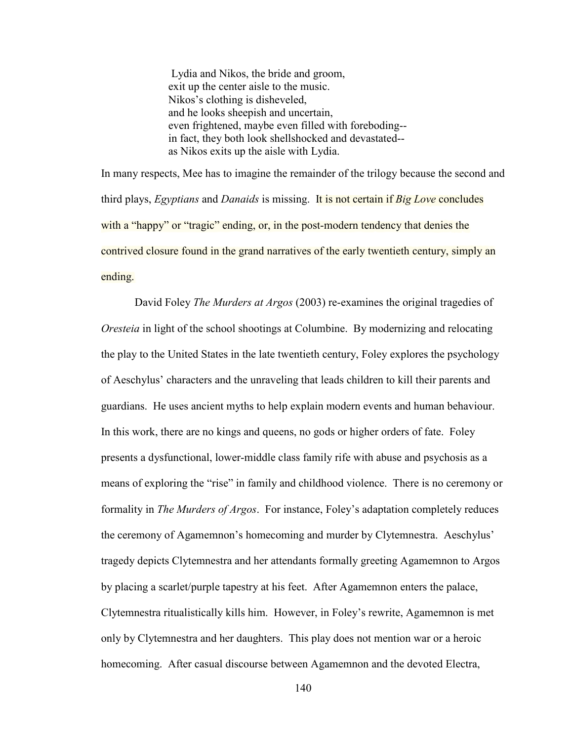Lydia and Nikos, the bride and groom, exit up the center aisle to the music. Nikos's clothing is disheveled, and he looks sheepish and uncertain, even frightened, maybe even filled with foreboding- in fact, they both look shellshocked and devastated- as Nikos exits up the aisle with Lydia.

In many respects, Mee has to imagine the remainder of the trilogy because the second and third plays, *Egyptians* and *Danaids* is missing. It is not certain if *Big Love* concludes with a "happy" or "tragic" ending, or, in the post-modern tendency that denies the contrived closure found in the grand narratives of the early twentieth century, simply an ending.

 David Foley *The Murders at Argos* (2003) re-examines the original tragedies of *Oresteia* in light of the school shootings at Columbine. By modernizing and relocating the play to the United States in the late twentieth century, Foley explores the psychology of Aeschylus' characters and the unraveling that leads children to kill their parents and guardians. He uses ancient myths to help explain modern events and human behaviour. In this work, there are no kings and queens, no gods or higher orders of fate. Foley presents a dysfunctional, lower-middle class family rife with abuse and psychosis as a means of exploring the "rise" in family and childhood violence. There is no ceremony or formality in *The Murders of Argos*. For instance, Foley's adaptation completely reduces the ceremony of Agamemnon's homecoming and murder by Clytemnestra. Aeschylus' tragedy depicts Clytemnestra and her attendants formally greeting Agamemnon to Argos by placing a scarlet/purple tapestry at his feet. After Agamemnon enters the palace, Clytemnestra ritualistically kills him. However, in Foley's rewrite, Agamemnon is met only by Clytemnestra and her daughters. This play does not mention war or a heroic homecoming. After casual discourse between Agamemnon and the devoted Electra,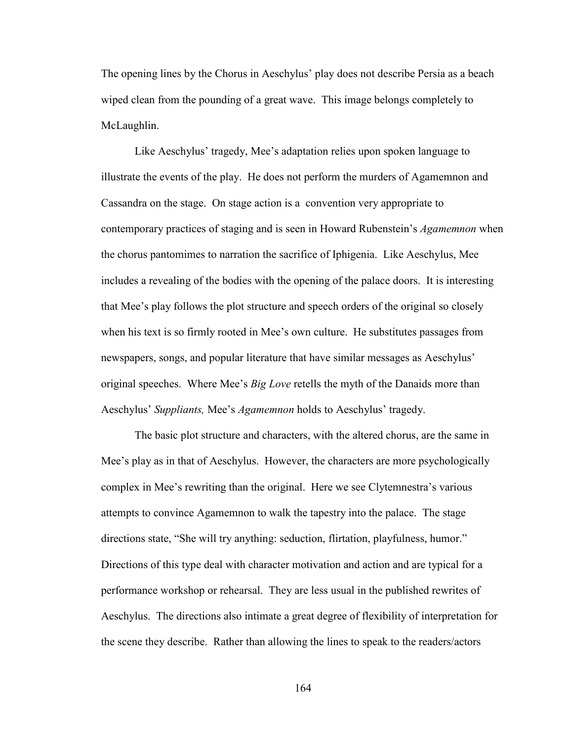The opening lines by the Chorus in Aeschylus' play does not describe Persia as a beach wiped clean from the pounding of a great wave. This image belongs completely to McLaughlin.

Like Aeschylus' tragedy, Mee's adaptation relies upon spoken language to illustrate the events of the play. He does not perform the murders of Agamemnon and Cassandra on the stage. On stage action is a convention very appropriate to contemporary practices of staging and is seen in Howard Rubenstein's *Agamemnon* when the chorus pantomimes to narration the sacrifice of Iphigenia. Like Aeschylus, Mee includes a revealing of the bodies with the opening of the palace doors. It is interesting that Mee's play follows the plot structure and speech orders of the original so closely when his text is so firmly rooted in Mee's own culture. He substitutes passages from newspapers, songs, and popular literature that have similar messages as Aeschylus' original speeches. Where Mee's *Big Love* retells the myth of the Danaids more than Aeschylus' *Suppliants,* Mee's *Agamemnon* holds to Aeschylus' tragedy.

The basic plot structure and characters, with the altered chorus, are the same in Mee's play as in that of Aeschylus. However, the characters are more psychologically complex in Mee's rewriting than the original. Here we see Clytemnestra's various attempts to convince Agamemnon to walk the tapestry into the palace. The stage directions state, "She will try anything: seduction, flirtation, playfulness, humor." Directions of this type deal with character motivation and action and are typical for a performance workshop or rehearsal. They are less usual in the published rewrites of Aeschylus. The directions also intimate a great degree of flexibility of interpretation for the scene they describe. Rather than allowing the lines to speak to the readers/actors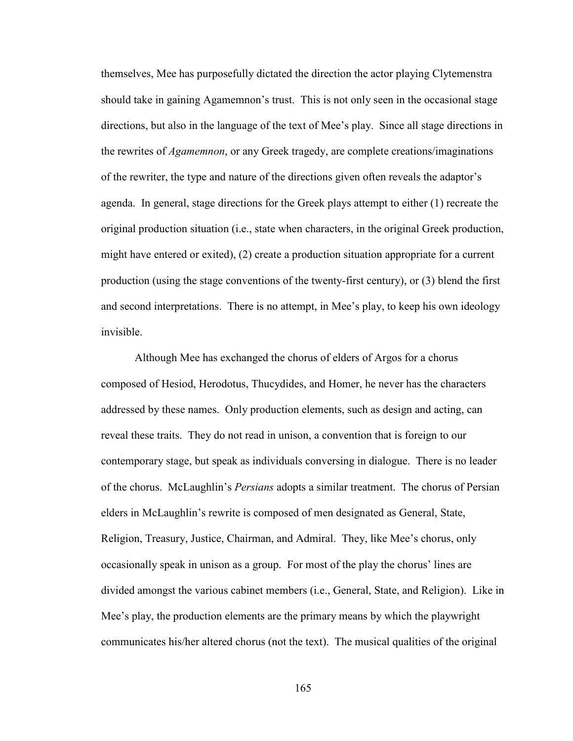themselves, Mee has purposefully dictated the direction the actor playing Clytemenstra should take in gaining Agamemnon's trust. This is not only seen in the occasional stage directions, but also in the language of the text of Mee's play. Since all stage directions in the rewrites of *Agamemnon*, or any Greek tragedy, are complete creations/imaginations of the rewriter, the type and nature of the directions given often reveals the adaptor's agenda. In general, stage directions for the Greek plays attempt to either (1) recreate the original production situation (i.e., state when characters, in the original Greek production, might have entered or exited), (2) create a production situation appropriate for a current production (using the stage conventions of the twenty-first century), or (3) blend the first and second interpretations. There is no attempt, in Mee's play, to keep his own ideology invisible.

Although Mee has exchanged the chorus of elders of Argos for a chorus composed of Hesiod, Herodotus, Thucydides, and Homer, he never has the characters addressed by these names. Only production elements, such as design and acting, can reveal these traits. They do not read in unison, a convention that is foreign to our contemporary stage, but speak as individuals conversing in dialogue. There is no leader of the chorus. McLaughlin's *Persians* adopts a similar treatment. The chorus of Persian elders in McLaughlin's rewrite is composed of men designated as General, State, Religion, Treasury, Justice, Chairman, and Admiral. They, like Mee's chorus, only occasionally speak in unison as a group. For most of the play the chorus' lines are divided amongst the various cabinet members (i.e., General, State, and Religion). Like in Mee's play, the production elements are the primary means by which the playwright communicates his/her altered chorus (not the text). The musical qualities of the original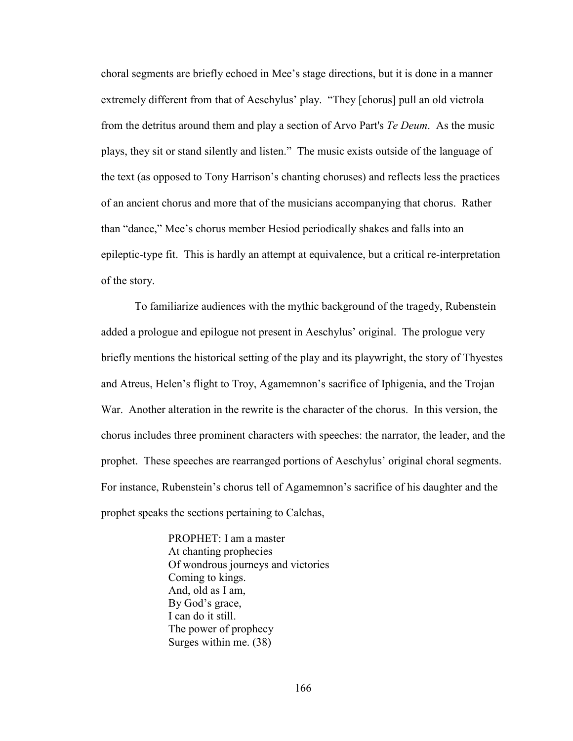choral segments are briefly echoed in Mee's stage directions, but it is done in a manner extremely different from that of Aeschylus' play. "They [chorus] pull an old victrola from the detritus around them and play a section of Arvo Part's *Te Deum*. As the music plays, they sit or stand silently and listen." The music exists outside of the language of the text (as opposed to Tony Harrison's chanting choruses) and reflects less the practices of an ancient chorus and more that of the musicians accompanying that chorus. Rather than "dance," Mee's chorus member Hesiod periodically shakes and falls into an epileptic-type fit. This is hardly an attempt at equivalence, but a critical re-interpretation of the story.

To familiarize audiences with the mythic background of the tragedy, Rubenstein added a prologue and epilogue not present in Aeschylus' original. The prologue very briefly mentions the historical setting of the play and its playwright, the story of Thyestes and Atreus, Helen's flight to Troy, Agamemnon's sacrifice of Iphigenia, and the Trojan War. Another alteration in the rewrite is the character of the chorus. In this version, the chorus includes three prominent characters with speeches: the narrator, the leader, and the prophet. These speeches are rearranged portions of Aeschylus' original choral segments. For instance, Rubenstein's chorus tell of Agamemnon's sacrifice of his daughter and the prophet speaks the sections pertaining to Calchas,

> PROPHET: I am a master At chanting prophecies Of wondrous journeys and victories Coming to kings. And, old as I am, By God's grace, I can do it still. The power of prophecy Surges within me. (38)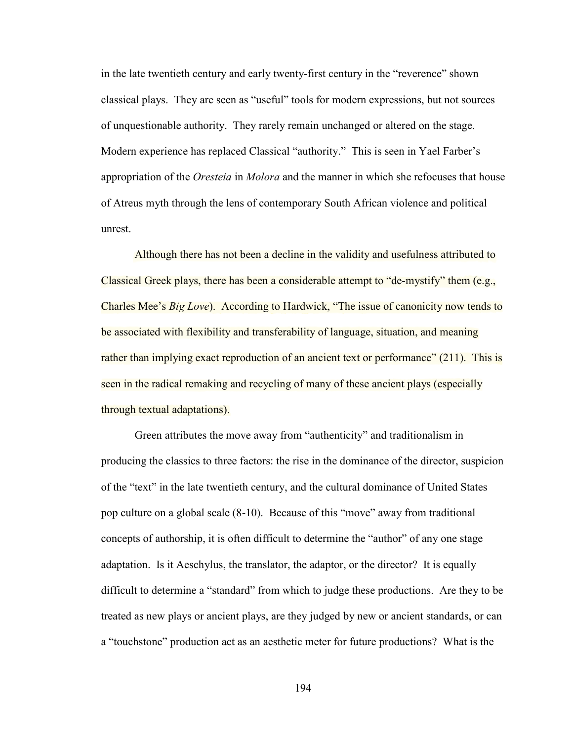in the late twentieth century and early twenty-first century in the "reverence" shown classical plays. They are seen as "useful" tools for modern expressions, but not sources of unquestionable authority. They rarely remain unchanged or altered on the stage. Modern experience has replaced Classical "authority." This is seen in Yael Farber's appropriation of the *Oresteia* in *Molora* and the manner in which she refocuses that house of Atreus myth through the lens of contemporary South African violence and political unrest.

 Although there has not been a decline in the validity and usefulness attributed to Classical Greek plays, there has been a considerable attempt to "de-mystify" them (e.g., Charles Mee's *Big Love*). According to Hardwick, "The issue of canonicity now tends to be associated with flexibility and transferability of language, situation, and meaning rather than implying exact reproduction of an ancient text or performance" (211). This is seen in the radical remaking and recycling of many of these ancient plays (especially through textual adaptations).

 Green attributes the move away from "authenticity" and traditionalism in producing the classics to three factors: the rise in the dominance of the director, suspicion of the "text" in the late twentieth century, and the cultural dominance of United States pop culture on a global scale (8-10). Because of this "move" away from traditional concepts of authorship, it is often difficult to determine the "author" of any one stage adaptation. Is it Aeschylus, the translator, the adaptor, or the director? It is equally difficult to determine a "standard" from which to judge these productions. Are they to be treated as new plays or ancient plays, are they judged by new or ancient standards, or can a "touchstone" production act as an aesthetic meter for future productions? What is the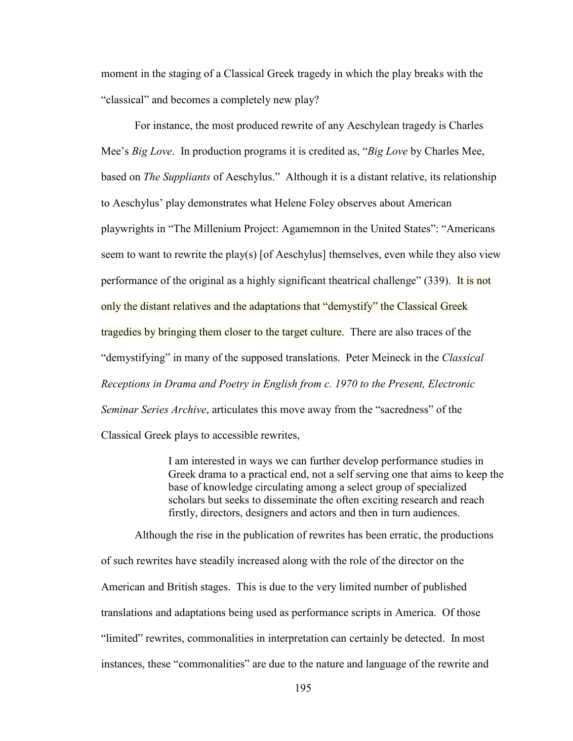moment in the staging of a Classical Greek tragedy in which the play breaks with the "classical" and becomes a completely new play?

 For instance, the most produced rewrite of any Aeschylean tragedy is Charles Mee's *Big Love*. In production programs it is credited as, "*Big Love* by Charles Mee, based on *The Suppliants* of Aeschylus." Although it is a distant relative, its relationship to Aeschylus' play demonstrates what Helene Foley observes about American playwrights in "The Millenium Project: Agamemnon in the United States": "Americans seem to want to rewrite the play(s) [of Aeschylus] themselves, even while they also view performance of the original as a highly significant theatrical challenge" (339). It is not only the distant relatives and the adaptations that "demystify" the Classical Greek tragedies by bringing them closer to the target culture. There are also traces of the "demystifying" in many of the supposed translations. Peter Meineck in the *Classical Receptions in Drama and Poetry in English from c. 1970 to the Present, Electronic Seminar Series Archive*, articulates this move away from the "sacredness" of the Classical Greek plays to accessible rewrites,

> I am interested in ways we can further develop performance studies in Greek drama to a practical end, not a self serving one that aims to keep the base of knowledge circulating among a select group of specialized scholars but seeks to disseminate the often exciting research and reach firstly, directors, designers and actors and then in turn audiences.

Although the rise in the publication of rewrites has been erratic, the productions of such rewrites have steadily increased along with the role of the director on the American and British stages. This is due to the very limited number of published translations and adaptations being used as performance scripts in America. Of those "limited" rewrites, commonalities in interpretation can certainly be detected. In most instances, these "commonalities" are due to the nature and language of the rewrite and